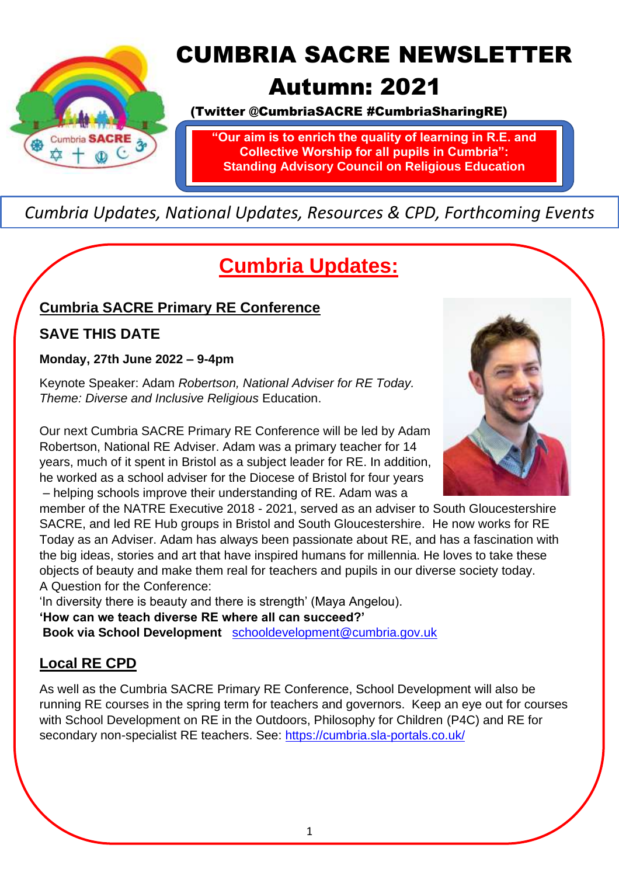

# CUMBRIA SACRE NEWSLETTER

## Autumn: 2021

(Twitter @CumbriaSACRE #CumbriaSharingRE)

**"Our aim is to enrich the quality of learning in R.E. and Collective Worship for all pupils in Cumbria": Standing Advisory Council on Religious Education**

### *Cumbria Updates, National Updates, Resources & CPD, Forthcoming Events*

# **Cumbria Updates:**

### **Cumbria SACRE Primary RE Conference**

### **SAVE THIS DATE**

#### **Monday, 27th June 2022 – 9-4pm**

Keynote Speaker: Adam *Robertson, National Adviser for RE Today. Theme: Diverse and Inclusive Religious* Education.

Our next Cumbria SACRE Primary RE Conference will be led by Adam Robertson, National RE Adviser. Adam was a primary teacher for 14 years, much of it spent in Bristol as a subject leader for RE. In addition, he worked as a school adviser for the Diocese of Bristol for four years – helping schools improve their understanding of RE. Adam was a

member of the NATRE Executive 2018 - 2021, served as an adviser to South Gloucestershire SACRE, and led RE Hub groups in Bristol and South Gloucestershire. He now works for RE Today as an Adviser. Adam has always been passionate about RE, and has a fascination with the big ideas, stories and art that have inspired humans for millennia. He loves to take these objects of beauty and make them real for teachers and pupils in our diverse society today. A Question for the Conference:

'In diversity there is beauty and there is strength' (Maya Angelou).

**'How can we teach diverse RE where all can succeed?'**

**Book via School Development** [schooldevelopment@cumbria.gov.uk](mailto:schooldevelopment@cumbria.gov.uk) 

### **Local RE CPD**

As well as the Cumbria SACRE Primary RE Conference, School Development will also be running RE courses in the spring term for teachers and governors. Keep an eye out for courses with School Development on RE in the Outdoors, Philosophy for Children (P4C) and RE for secondary non-specialist RE teachers. See:<https://cumbria.sla-portals.co.uk/>

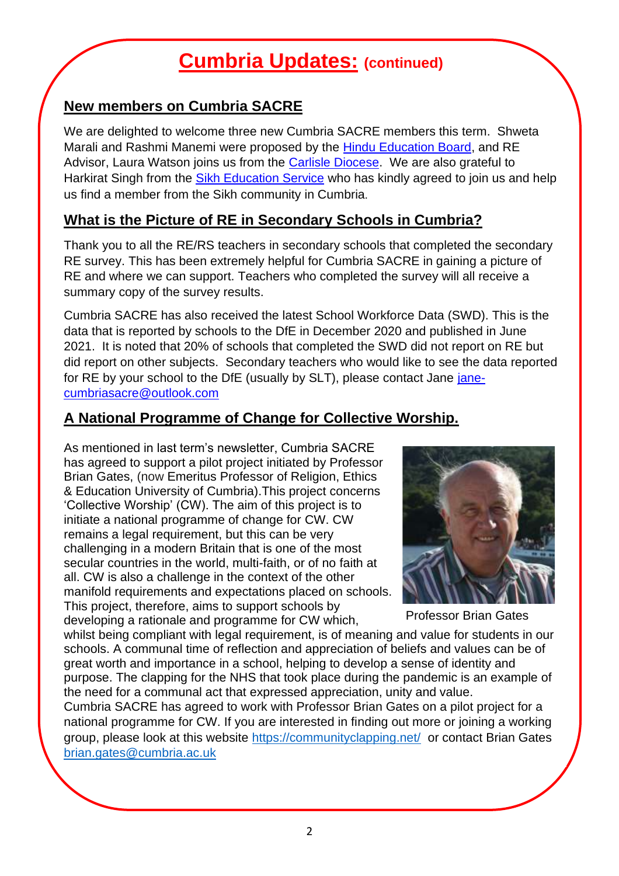## **Cumbria Updates: (continued)**

### **New members on Cumbria SACRE**

We are delighted to welcome three new Cumbria SACRE members this term. Shweta Marali and Rashmi Manemi were proposed by the [Hindu Education Board,](https://hindueducationboarduk.org/) and RE Advisor, Laura Watson joins us from the [Carlisle Diocese.](https://www.carlislediocese.org.uk/education/) We are also grateful to Harkirat Singh from the [Sikh Education Service](http://www.sikheducationservice.co.uk/) who has kindly agreed to join us and help us find a member from the Sikh community in Cumbria.

#### **What is the Picture of RE in Secondary Schools in Cumbria?**

Thank you to all the RE/RS teachers in secondary schools that completed the secondary RE survey. This has been extremely helpful for Cumbria SACRE in gaining a picture of RE and where we can support. Teachers who completed the survey will all receive a summary copy of the survey results.

Cumbria SACRE has also received the latest School Workforce Data (SWD). This is the data that is reported by schools to the DfE in December 2020 and published in June 2021. It is noted that 20% of schools that completed the SWD did not report on RE but did report on other subjects. Secondary teachers who would like to see the data reported for RE by your school to the DfE (usually by SLT), please contact Jane [jane](mailto:jane-cumbriasacre@outlook.com)[cumbriasacre@outlook.com](mailto:jane-cumbriasacre@outlook.com)

#### **A National Programme of Change for Collective Worship.**

As mentioned in last term's newsletter, Cumbria SACRE has agreed to support a pilot project initiated by Professor Brian Gates, (now Emeritus Professor of Religion, Ethics & Education University of Cumbria).This project concerns 'Collective Worship' (CW). The aim of this project is to initiate a national programme of change for CW. CW remains a legal requirement, but this can be very challenging in a modern Britain that is one of the most secular countries in the world, multi-faith, or of no faith at all. CW is also a challenge in the context of the other manifold requirements and expectations placed on schools. This project, therefore, aims to support schools by developing a rationale and programme for CW which,



Professor Brian Gates

whilst being compliant with legal requirement, is of meaning and value for students in our schools. A communal time of reflection and appreciation of beliefs and values can be of great worth and importance in a school, helping to develop a sense of identity and purpose. The clapping for the NHS that took place during the pandemic is an example of the need for a communal act that expressed appreciation, unity and value.

Cumbria SACRE has agreed to work with Professor Brian Gates on a pilot project for a national programme for CW. If you are interested in finding out more or joining a working group, please look at this website<https://communityclapping.net/>or contact Brian Gates [brian.gates@cumbria.ac.uk](mailto:brian.gates@cumbria.ac.uk)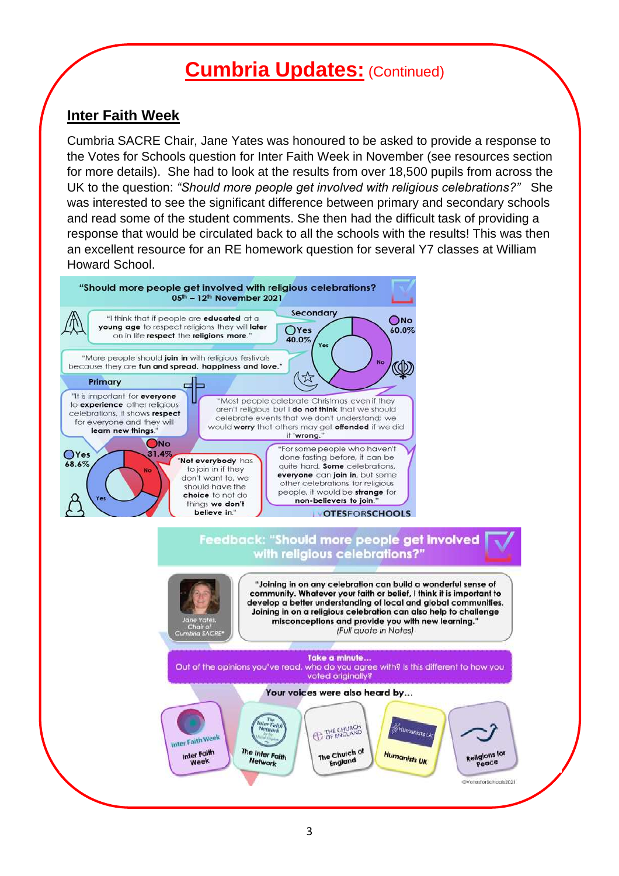### **Cumbria Updates:** (Continued)

#### **Inter Faith Week**

Cumbria SACRE Chair, Jane Yates was honoured to be asked to provide a response to the Votes for Schools question for Inter Faith Week in November (see resources section for more details). She had to look at the results from over 18,500 pupils from across the UK to the question: *"Should more people get involved with religious celebrations?"* She was interested to see the significant difference between primary and secondary schools and read some of the student comments. She then had the difficult task of providing a response that would be circulated back to all the schools with the results! This was then an excellent resource for an RE homework question for several Y7 classes at William Howard School.

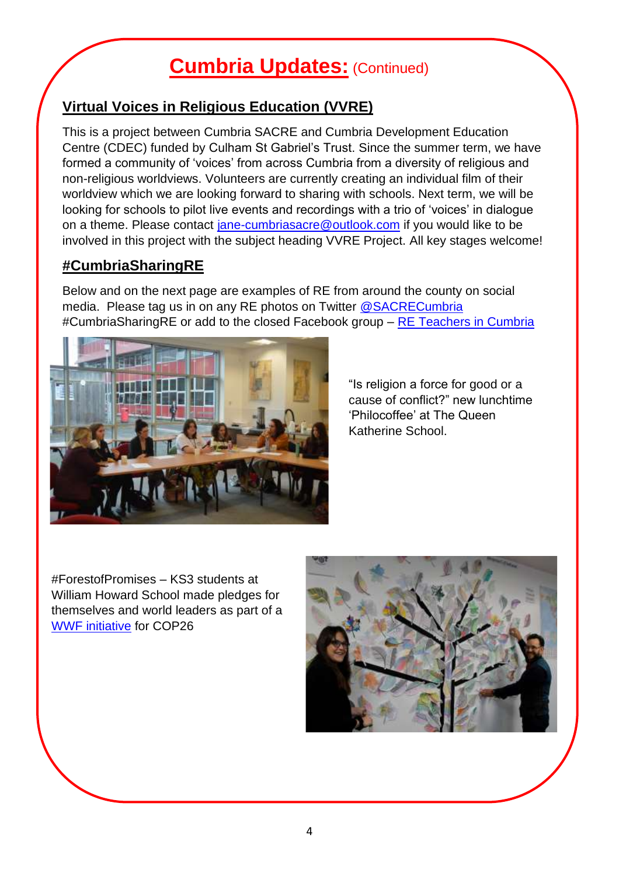## **Cumbria Updates:** (Continued)

### **Virtual Voices in Religious Education (VVRE)**

This is a project between Cumbria SACRE and Cumbria Development Education Centre (CDEC) funded by Culham St Gabriel's Trust. Since the summer term, we have formed a community of 'voices' from across Cumbria from a diversity of religious and non-religious worldviews. Volunteers are currently creating an individual film of their worldview which we are looking forward to sharing with schools. Next term, we will be looking for schools to pilot live events and recordings with a trio of 'voices' in dialogue on a theme. Please contact [jane-cumbriasacre@outlook.com](mailto:jane-cumbriasacre@outlook.com) if you would like to be involved in this project with the subject heading VVRE Project. All key stages welcome!

#### **#CumbriaSharingRE**

Below and on the next page are examples of RE from around the county on social media. Please tag us in on any RE photos on Twitter [@SACRECumbria](https://twitter.com/SACRECumbria) #CumbriaSharingRE or add to the closed Facebook group – [RE Teachers in Cumbria](https://www.facebook.com/groups/1204826062907029)



"Is religion a force for good or a cause of conflict?" new lunchtime 'Philocoffee' at The Queen Katherine School.

#ForestofPromises – KS3 students at William Howard School made pledges for themselves and world leaders as part of a [WWF initiative](https://www.wwf.org.uk/get-involved/schools/forest-of-promises) for COP26

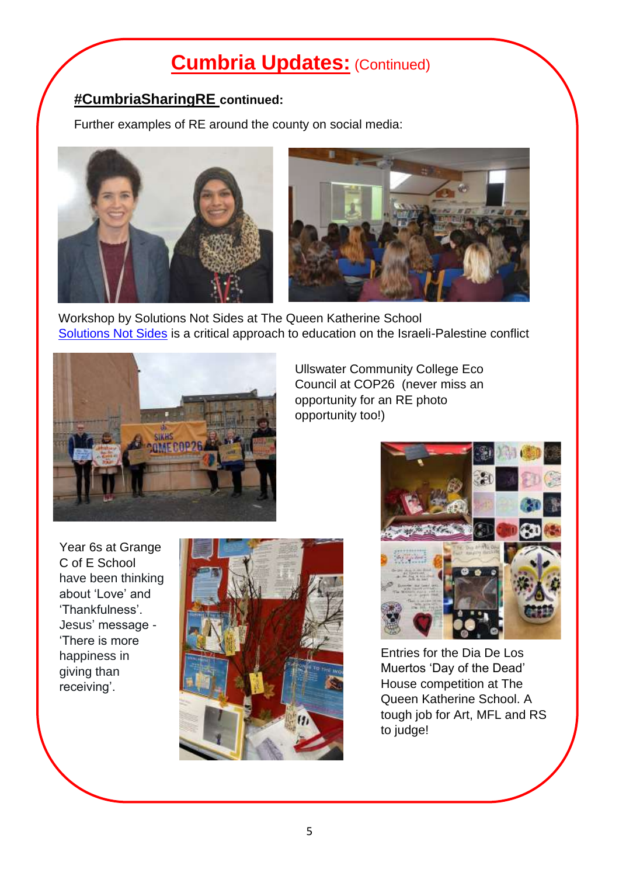## **Cumbria Updates:** (Continued)

### **#CumbriaSharingRE continued:**

Further examples of RE around the county on social media:



Workshop by Solutions Not Sides at The Queen Katherine School [Solutions Not Sides](https://solutionsnotsides.co.uk/) is a critical approach to education on the Israeli-Palestine conflict



Ullswater Community College Eco Council at COP26 (never miss an opportunity for an RE photo opportunity too!)

Year 6s at Grange C of E School have been thinking about 'Love' and 'Thankfulness'. Jesus' message - 'There is more happiness in giving than receiving'.





Entries for the Dia De Los Muertos 'Day of the Dead' House competition at The Queen Katherine School. A tough job for Art, MFL and RS to judge!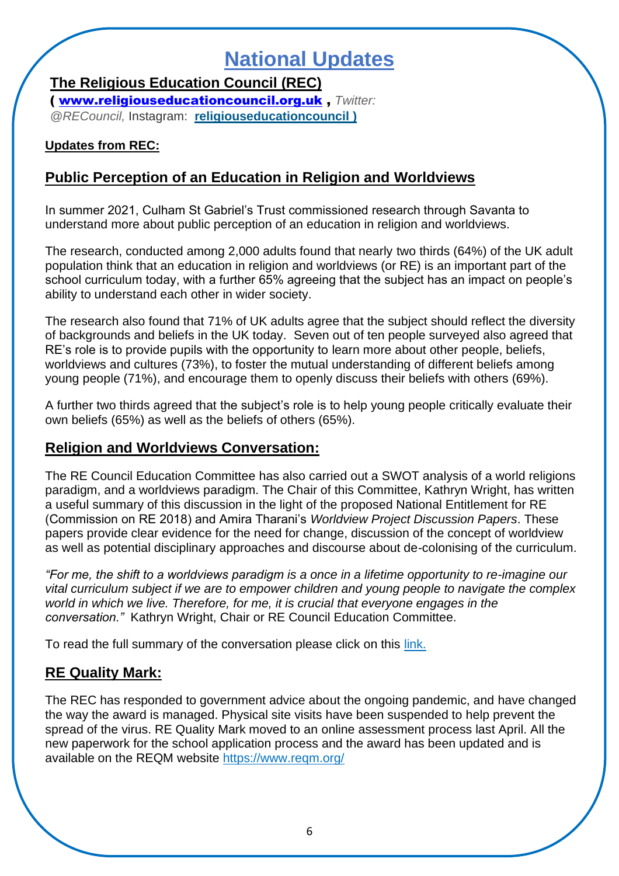## **National Updates**

**The Religious Education Council (REC)**

( [www.religiouseducationcouncil.org.uk](http://www.religiouseducationcouncil.org.uk/) , *Twitter: @RECouncil,* Instagram: **[religiouseducationcouncil](https://religiouseducationcouncil.us4.list-manage.com/track/click?u=a742773f8f89e11e47d388c29&id=af090ab568&e=07a6381f68) )**

#### **Updates from REC:**

#### **Public Perception of an Education in Religion and Worldviews**

In summer 2021, Culham St Gabriel's Trust commissioned research through Savanta to understand more about public perception of an education in religion and worldviews.

The research, conducted among 2,000 adults found that nearly two thirds (64%) of the UK adult population think that an education in religion and worldviews (or RE) is an important part of the school curriculum today, with a further 65% agreeing that the subject has an impact on people's ability to understand each other in wider society.

The research also found that 71% of UK adults agree that the subject should reflect the diversity of backgrounds and beliefs in the UK today. Seven out of ten people surveyed also agreed that RE's role is to provide pupils with the opportunity to learn more about other people, beliefs, worldviews and cultures (73%), to foster the mutual understanding of different beliefs among young people (71%), and encourage them to openly discuss their beliefs with others (69%).

A further two thirds agreed that the subject's role is to help young people critically evaluate their own beliefs (65%) as well as the beliefs of others (65%).

#### **Religion and Worldviews Conversation:**

The RE Council Education Committee has also carried out a SWOT analysis of a world religions paradigm, and a worldviews paradigm. The Chair of this Committee, Kathryn Wright, has written a useful summary of this discussion in the light of the proposed National Entitlement for RE (Commission on RE 2018) and Amira Tharani's *Worldview Project Discussion Papers*. These papers provide clear evidence for the need for change, discussion of the concept of worldview as well as potential disciplinary approaches and discourse about de-colonising of the curriculum.

*"For me, the shift to a worldviews paradigm is a once in a lifetime opportunity to re-imagine our vital curriculum subject if we are to empower children and young people to navigate the complex world in which we live. Therefore, for me, it is crucial that everyone engages in the conversation."* Kathryn Wright, Chair or RE Council Education Committee.

To read the full summary of the conversation please click on this [link.](https://www.religiouseducationcouncil.org.uk/news/religion-and-worldviews-a-conversation/)

#### **RE Quality Mark:**

The REC has responded to government advice about the ongoing pandemic, and have changed the way the award is managed. Physical site visits have been suspended to help prevent the spread of the virus. RE Quality Mark moved to an online assessment process last April. All the new paperwork for the school application process and the award has been updated and is available on the REQM website <https://www.reqm.org/>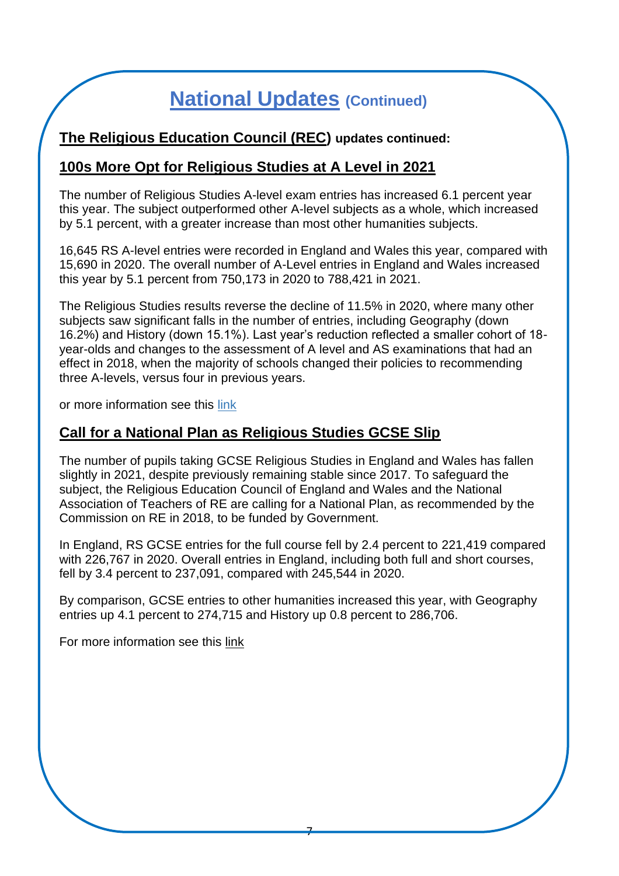#### **The Religious Education Council (REC) updates continued:**

#### **100s More Opt for Religious Studies at A Level in 2021**

The number of Religious Studies A-level exam entries has increased 6.1 percent year this year. The subject outperformed other A-level subjects as a whole, which increased by 5.1 percent, with a greater increase than most other humanities subjects.

16,645 RS A-level entries were recorded in England and Wales this year, compared with 15,690 in 2020. The overall number of A-Level entries in England and Wales increased this year by 5.1 percent from 750,173 in 2020 to 788,421 in 2021.

The Religious Studies results reverse the decline of 11.5% in 2020, where many other subjects saw significant falls in the number of entries, including Geography (down 16.2%) and History (down 15.1%). Last year's reduction reflected a smaller cohort of 18 year-olds and changes to the assessment of A level and AS examinations that had an effect in 2018, when the majority of schools changed their policies to recommending three A-levels, versus four in previous years.

or more information see this [link](https://www.religiouseducationcouncil.org.uk/news/religious-studies-at-a-level-in-2021/)

#### **Call for a National Plan as Religious Studies GCSE Slip**

The number of pupils taking GCSE Religious Studies in England and Wales has fallen slightly in 2021, despite previously remaining stable since 2017. To safeguard the subject, the Religious Education Council of England and Wales and the National Association of Teachers of RE are calling for a National Plan, as recommended by the Commission on RE in 2018, to be funded by Government.

In England, RS GCSE entries for the full course fell by 2.4 percent to 221,419 compared with 226,767 in 2020. Overall entries in England, including both full and short courses, fell by 3.4 percent to 237,091, compared with 245,544 in 2020.

By comparison, GCSE entries to other humanities increased this year, with Geography entries up 4.1 percent to 274,715 and History up 0.8 percent to 286,706.

For more information see this [link](https://www.religiouseducationcouncil.org.uk/news/call-for-national-plan-as-religious-studies-gcse-entries-slip/)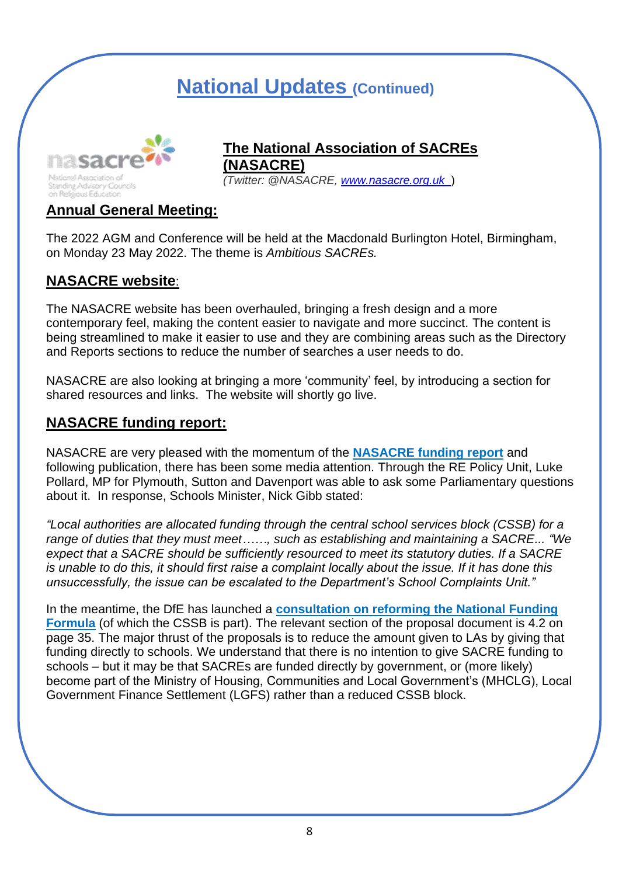

#### **The National Association of SACREs The National Association of SACREs (NASACRE)**

**EXACRE** *(Twitter: @NASACRE, [www.nasacre.org.uk](http://www.nasacre.org.uk/)* ) *(Twitter: @NASACRE, [www.nasacre.org.uk](http://www.nasacre.org.uk/)* )

#### **Annual General Meeting:**

The 2022 AGM and Conference will be held at the Macdonald Burlington Hotel, Birmingham, on Monday 23 May 2022. The theme is *Ambitious SACREs.*

#### **NASACRE website**:

The NASACRE website has been overhauled, bringing a fresh design and a more contemporary feel, making the content easier to navigate and more succinct. The content is being streamlined to make it easier to use and they are combining areas such as the Directory and Reports sections to reduce the number of searches a user needs to do.

NASACRE are also looking at bringing a more 'community' feel, by introducing a section for shared resources and links. The website will shortly go live.

#### **NASACRE funding report:**

NASACRE are very pleased with the momentum of the **[NASACRE funding report](https://www.nasacre.org.uk/file/nasacre/1-376-nasacre-report-on-sacre-funding-in-england-2021.pdf)** and following publication, there has been some media attention. Through the RE Policy Unit, Luke Pollard, MP for Plymouth, Sutton and Davenport was able to ask some Parliamentary questions about it. In response, Schools Minister, Nick Gibb stated:

*"Local authorities are allocated funding through the central school services block (CSSB) for a range of duties that they must meet……, such as establishing and maintaining a SACRE... "We expect that a SACRE should be sufficiently resourced to meet its statutory duties. If a SACRE is unable to do this, it should first raise a complaint locally about the issue. If it has done this unsuccessfully, the issue can be escalated to the Department's School Complaints Unit."*

In the meantime, the DfE has launched a **[consultation on reforming the National Funding](https://consult.education.gov.uk/funding-policy-unit/completing-our-reforms-to-the-nff/supporting_documents/Fair%20Funding%20For%20All%20Consultation.pdf)  [Formula](https://consult.education.gov.uk/funding-policy-unit/completing-our-reforms-to-the-nff/supporting_documents/Fair%20Funding%20For%20All%20Consultation.pdf)** (of which the CSSB is part). The relevant section of the proposal document is 4.2 on page 35. The major thrust of the proposals is to reduce the amount given to LAs by giving that funding directly to schools. We understand that there is no intention to give SACRE funding to schools – but it may be that SACREs are funded directly by government, or (more likely) become part of the Ministry of Housing, Communities and Local Government's (MHCLG), Local Government Finance Settlement (LGFS) rather than a reduced CSSB block.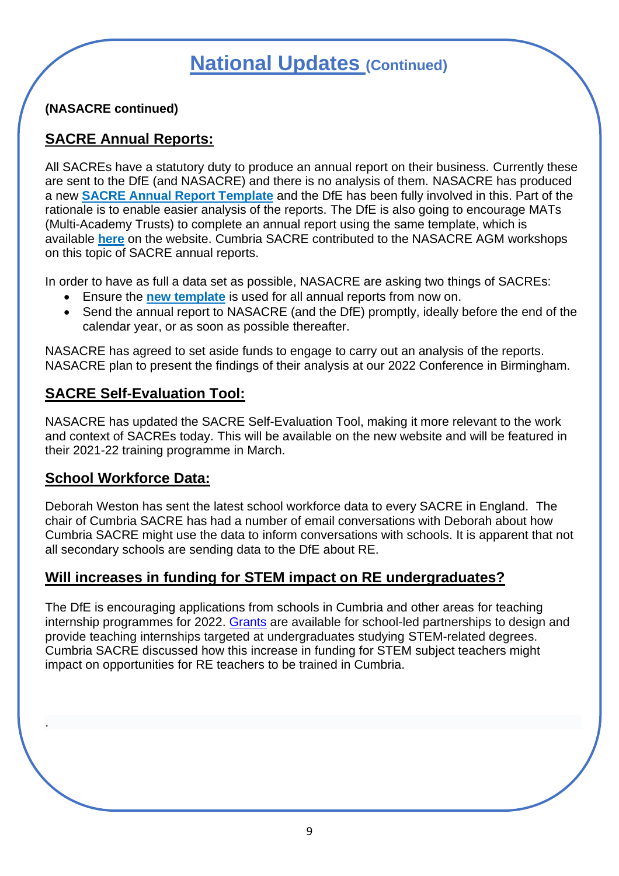**(NASACRE continued)**

#### **SACRE Annual Reports:**

All SACREs have a statutory duty to produce an annual report on their business. Currently these are sent to the DfE (and NASACRE) and there is no analysis of them. NASACRE has produced a new **[SACRE Annual Report Template](https://www.nasacre.org.uk/file/nasacre/1-444-sacre-annual-report-framework-2021.pdf)** and the DfE has been fully involved in this. Part of the rationale is to enable easier analysis of the reports. The DfE is also going to encourage MATs (Multi-Academy Trusts) to complete an annual report using the same template, which is available **[here](https://www.nasacre.org.uk/file/nasacre/1-444-sacre-annual-report-framework-2021.pdf)** on the website. Cumbria SACRE contributed to the NASACRE AGM workshops on this topic of SACRE annual reports.

In order to have as full a data set as possible, NASACRE are asking two things of SACREs:

- Ensure the **[new template](https://www.nasacre.org.uk/file/nasacre/1-444-sacre-annual-report-framework-2021.pdf)** is used for all annual reports from now on.
- Send the annual report to NASACRE (and the DfE) promptly, ideally before the end of the calendar year, or as soon as possible thereafter.

NASACRE has agreed to set aside funds to engage to carry out an analysis of the reports. NASACRE plan to present the findings of their analysis at our 2022 Conference in Birmingham.

#### **SACRE Self-Evaluation Tool:**

NASACRE has updated the SACRE Self-Evaluation Tool, making it more relevant to the work and context of SACREs today. This will be available on the new website and will be featured in their 2021-22 training programme in March.

#### **School Workforce Data:**

.

Deborah Weston has sent the latest school workforce data to every SACRE in England. The chair of Cumbria SACRE has had a number of email conversations with Deborah about how Cumbria SACRE might use the data to inform conversations with schools. It is apparent that not all secondary schools are sending data to the DfE about RE.

### **Will increases in funding for STEM impact on RE undergraduates?**

The DfE is encouraging applications from schools in Cumbria and other areas for teaching internship programmes for 2022. [Grants](https://www.gov.uk/guidance/teaching-internship-programme-summer-2022) are available for school-led partnerships to design and provide teaching internships targeted at undergraduates studying STEM-related degrees. Cumbria SACRE discussed how this increase in funding for STEM subject teachers might impact on opportunities for RE teachers to be trained in Cumbria.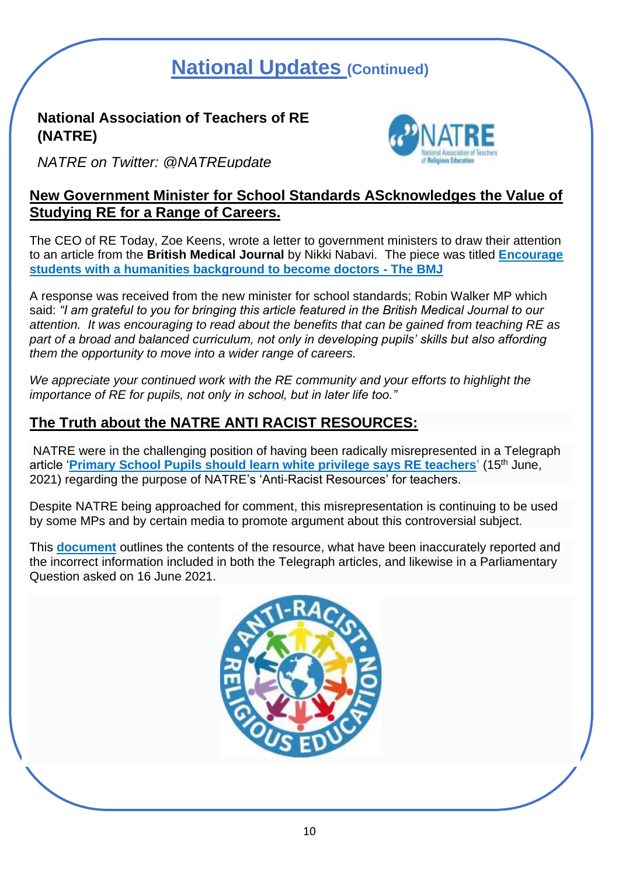#### **National Association of Teachers of RE (NATRE)**



*NATRE on Twitter: @NATREupdate*

#### **New Government Minister for School Standards AScknowledges the Value of Studying RE for a Range of Careers.**

The CEO of RE Today, Zoe Keens, wrote a letter to government ministers to draw their attention to an article from the **British Medical Journal** by Nikki Nabavi. The piece was titled **[Encourage](https://blogs.bmj.com/bmj/2021/08/04/encourage-students-with-a-humanities-background-to-become-doctors/)  [students with a humanities background to become doctors -](https://blogs.bmj.com/bmj/2021/08/04/encourage-students-with-a-humanities-background-to-become-doctors/) The BMJ**

A response was received from the new minister for school standards; Robin Walker MP which said: *"I am grateful to you for bringing this article featured in the British Medical Journal to our attention. It was encouraging to read about the benefits that can be gained from teaching RE as*  part of a broad and balanced curriculum, not only in developing pupils' skills but also affording *them the opportunity to move into a wider range of careers.*

*We appreciate your continued work with the RE community and your efforts to highlight the importance of RE for pupils, not only in school, but in later life too."*

### **The Truth about the NATRE ANTI RACIST RESOURCES:**

NATRE were in the challenging position of having been radically misrepresented in a Telegraph article '**[Primary School Pupils should learn white privilege says RE teachers](https://www.telegraph.co.uk/news/2021/06/15/primary-school-pupils-should-learn-white-privilege-says-re-teachers/)**' (15th June, 2021) regarding the purpose of NATRE's 'Anti-Racist Resources' for teachers.

Despite NATRE being approached for comment, this misrepresentation is continuing to be used by some MPs and by certain media to promote argument about this controversial subject.

This **[document](https://www.natre.org.uk/uploads/The%20Truth%20about%20the%20Anti%20Racist%20RE%20Resources%20June%2021.pdf)** outlines the contents of the resource, what have been inaccurately reported and the incorrect information included in both the Telegraph articles, and likewise in a Parliamentary Question asked on 16 June 2021.

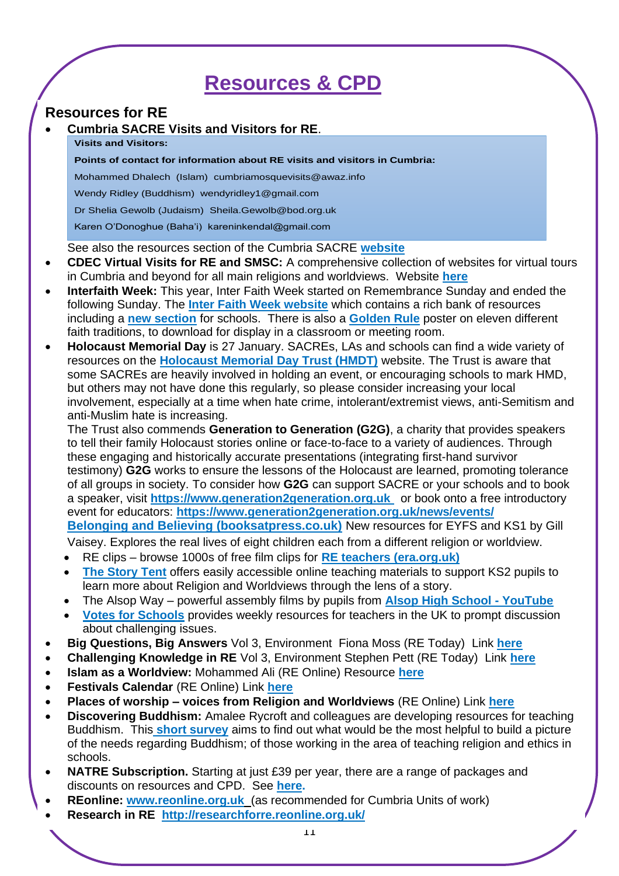### **Resources & CPD**

#### **Resources for RE**

#### • **Cumbria SACRE Visits and Visitors for RE**.

#### **Visits and Visitors:**

**Points of contact for information about RE visits and visitors in Cumbria:**

Mohammed Dhalech (Islam) cumbriamosquevisits@awaz.info

Wendy Ridley (Buddhism) wendyridley1@gmail.com

Dr Shelia Gewolb (Judaism) Sheila.Gewolb@bod.org.uk

Karen O'Donoghue (Baha'i) kareninkendal@gmail.com

See also the resources section of the Cumbria SACRE **[website](https://www.cumbria.gov.uk/childrensservices/schoolsandlearning/lis/sacre.asp)** 

- **CDEC Virtual Visits for RE and SMSC:** A comprehensive collection of websites for virtual tours in Cumbria and beyond for all main religions and worldviews. Website **[here](https://www.cdec.org.uk/use-our-resources/films-and-virtual-tours/virtual-tours/)**
- **Interfaith Week:** This year, Inter Faith Week started on Remembrance Sunday and ended the following Sunday. The **[Inter Faith Week website](https://www.interfaithweek.org/)** which contains a rich bank of resources including a **[new section](https://www.interfaithweek.org/resources/schools-2)** for schools. There is also a **[Golden Rule](https://www.interfaith.org.uk/resources/shared-values-golden-rule)** poster on eleven different faith traditions, to download for display in a classroom or meeting room.
- **Holocaust Memorial Day** is 27 January. SACREs, LAs and schools can find a wide variety of resources on the **[Holocaust Memorial Day Trust \(HMDT\)](https://www.hmd.org.uk/)** website. The Trust is aware that some SACREs are heavily involved in holding an event, or encouraging schools to mark HMD, but others may not have done this regularly, so please consider increasing your local involvement, especially at a time when hate crime, intolerant/extremist views, anti-Semitism and anti-Muslim hate is increasing.

The Trust also commends **Generation to Generation (G2G)**, a charity that provides speakers to tell their family Holocaust stories online or face-to-face to a variety of audiences. Through these engaging and historically accurate presentations (integrating first-hand survivor testimony) **G2G** works to ensure the lessons of the Holocaust are learned, promoting tolerance of all groups in society. To consider how **G2G** can support SACRE or your schools and to book a speaker, visit **[https://w](https://www.generation2generation.org.uk/)ww.generation2generation.org.uk** or book onto a free introductory event for educators: **<https://www.generation2generation.org.uk/news/events/>**

**[Belonging and Believing \(booksatpress.co.uk\)](https://booksatpress.co.uk/belongingandbelieving.html)** New resources for EYFS and KS1 by Gill

Vaisey. Explores the real lives of eight children each from a different religion or worldview.

- RE clips browse 1000s of free film clips for **[RE teachers \(era.org.uk\)](https://era.org.uk/re-teachers/?fbclid=IwAR20Srxk9pFa7DGM_E59-jqejCQHKYRKVNpmYk4iUMMtTioaniveZTDXcjg)**
- **[The Story Tent](https://www.storytent.concordant.online/)** offers easily accessible online teaching materials to support KS2 pupils to learn more about Religion and Worldviews through the lens of a story.
- The Alsop Way powerful assembly films by pupils from **[Alsop High School -](https://www.youtube.com/channel/UCm7DY3yENww46lgRLmMnCVA) YouTube**
- **[Votes for Schools](https://www.votesforschools.com/)** provides weekly resources for teachers in the UK to prompt discussion about challenging issues.
- **Big Questions, Big Answers** Vol 3, Environment Fiona Moss (RE Today) Link **[here](https://shop.retoday.org.uk/210302)**
- **Challenging Knowledge in RE** Vol 3, Environment Stephen Pett (RE Today) Link **[here](https://shop.retoday.org.uk/210303)**
- **Islam as a Worldview:** Mohammed Ali (RE Online) Resource **[here](https://www.reonline.org.uk/resources/islam-as-a-worldview-muhammad-ali/)**
- **Festivals Calendar** (RE Online) Link **[here](https://www.reonline.org.uk/festival-calendar/?filters=%7B%22october%22%3A%7B%22term_id%22%3A%2258%22%2C%22taxonomy%22%3A%22months%22%7D%7D)**
- **Places of worship – voices from Religion and Worldviews** (RE Online) Link **[here](https://www.reonline.org.uk/teaching-resources/places-of-worship-voices-from-religion-and-worldviews/)**
- **Discovering Buddhism:** Amalee Rycroft and colleagues are developing resources for teaching Buddhism. This **[short survey](https://forms.gle/WPLKDRHeMQs66JKx5)** aims to find out what would be the most helpful to build a picture of the needs regarding Buddhism; of those working in the area of teaching religion and ethics in schools.
- **NATRE Subscription.** Starting at just £39 per year, there are a range of packages and discounts on resources and CPD. See **[here.](https://shop.retoday.org.uk/retoday-subscriptions/)**
- **REonline: [www.reonline.org.uk](http://www.reonline.org.uk/)** (as recommended for Cumbria Units of work)
- **Research in RE <http://researchforre.reonline.org.uk/>**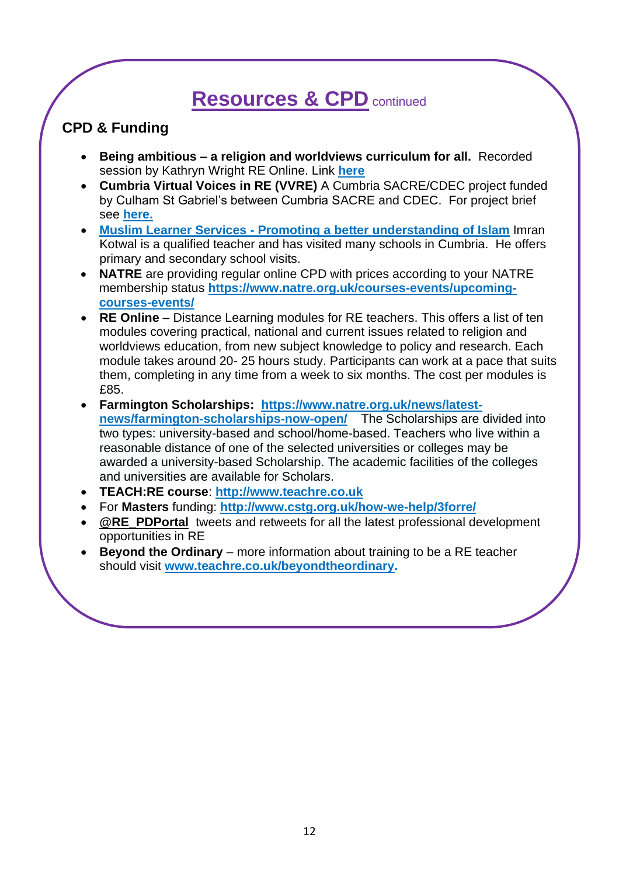### **Resources & CPD** continued

### **CPD & Funding**

- **Being ambitious – a religion and worldviews curriculum for all.** Recorded session by Kathryn Wright RE Online. Link **[here](https://www.reonline.org.uk/leadership/curriculum/)**
- **Cumbria Virtual Voices in RE (VVRE)** A Cumbria SACRE/CDEC project funded by Culham St Gabriel's between Cumbria SACRE and CDEC. For project brief see **[here.](https://www.cdec.org.uk/what-we-offer/projects/cumbria-virtual-voices-in-religious-education/)**
- **Muslim Learner Services - [Promoting a better understanding of Islam](https://muslimlearnerservices.org/)** Imran Kotwal is a qualified teacher and has visited many schools in Cumbria. He offers primary and secondary school visits.
- **NATRE** are providing regular online CPD with prices according to your NATRE membership status **[https://www.natre.org.uk/courses-events/upcoming](https://www.natre.org.uk/courses-events/upcoming-courses-events/)[courses-events/](https://www.natre.org.uk/courses-events/upcoming-courses-events/)**
- **RE Online** Distance Learning modules for RE teachers. This offers a list of ten modules covering practical, national and current issues related to religion and worldviews education, from new subject knowledge to policy and research. Each module takes around 20- 25 hours study. Participants can work at a pace that suits them, completing in any time from a week to six months. The cost per modules is £85.
- **Farmington Scholarships: [https://www.natre.org.uk/news/latest](https://www.natre.org.uk/news/latest-news/farmington-scholarships-now-open/)[news/farmington-scholarships-now-open/](https://www.natre.org.uk/news/latest-news/farmington-scholarships-now-open/)** The Scholarships are divided into two types: university-based and school/home-based. Teachers who live within a reasonable distance of one of the selected universities or colleges may be awarded a university-based Scholarship. The academic facilities of the colleges and universities are available for Scholars.
- **TEACH:RE course**: **[http://www.teachre.co.uk](https://religiouseducationcouncil.us4.list-manage.com/track/click?u=a742773f8f89e11e47d388c29&id=4428365620&e=07a6381f68)**
- For **Masters** funding: **[http://www.cstg.org.uk/how-we-help/3forre/](https://religiouseducationcouncil.us4.list-manage.com/track/click?u=a742773f8f89e11e47d388c29&id=8b5da2f2bd&e=07a6381f68)**
- **[@RE\\_PDPortal](https://religiouseducationcouncil.us4.list-manage.com/track/click?u=a742773f8f89e11e47d388c29&id=9f25f41a58&e=07a6381f68)** tweets and retweets for all the latest professional development opportunities in RE
- **Beyond the Ordinary** more information about training to be a RE teacher should visit **[www.teachre.co.uk/beyondtheordinary.](http://www.teachre.co.uk/beyondtheordinary)**